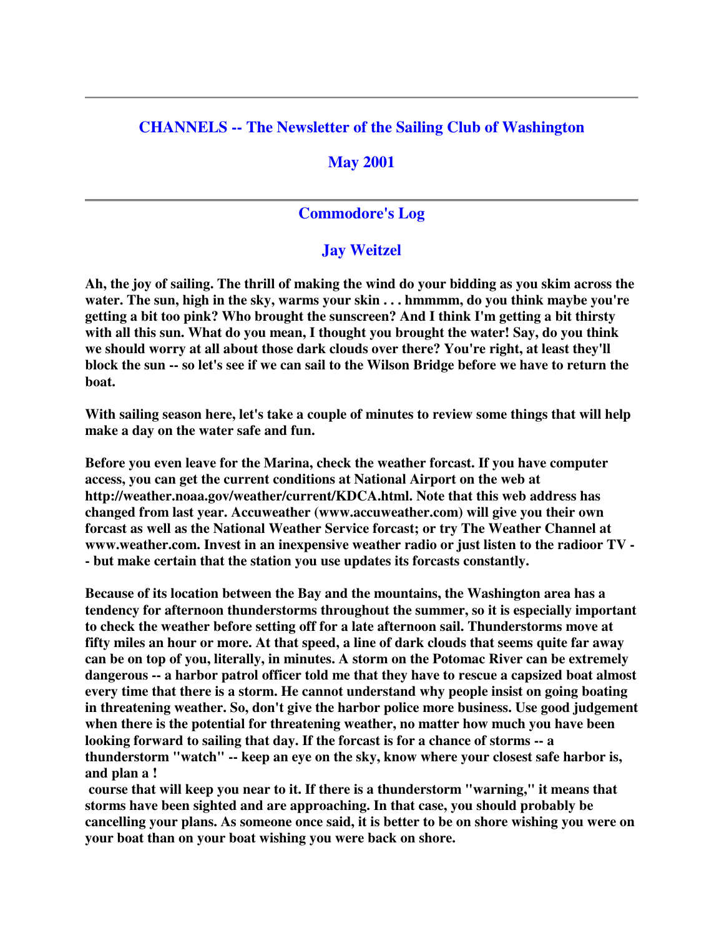## **CHANNELS -- The Newsletter of the Sailing Club of Washington**

### **May 2001**

### **Commodore's Log**

### **Jay Weitzel**

Ah, the joy of sailing. The thrill of making the wind do your bidding as you skim across the **water. The sun, high in the sky, warms your skin . . . hmmmm, do you think maybe you're getting a bit too pink? Who brought the sunscreen? And I think I'm getting a bit thirsty with all this sun. What do you mean, I thought you brought the water! Say, do you think we should worry at all about those dark clouds over there? You're right, at least they'll** block the sun -- so let's see if we can sail to the Wilson Bridge before we have to return the **boat.**

**With sailing season here, let's take a couple of minutes to review some things that will help make a day on the water safe and fun.**

**Before you even leave for the Marina, check the weather forcast. If you have computer access, you can get the current conditions at National Airport on the web at http://weather.noaa.gov/weather/current/KDCA.html. Note that this web address has changed from last year. Accuweather (www.accuweather.com) will give you their own forcast as well as the National Weather Service forcast; or try The Weather Channel at www.weather.com. Invest in an inexpensive weather radio or just listen to the radioor TV - - but make certain that the station you use updates its forcasts constantly.**

**Because of its location between the Bay and the mountains, the Washington area has a tendency for afternoon thunderstorms throughout the summer, so it is especially important to check the weather before setting off for a late afternoon sail. Thunderstorms move at fifty miles an hour or more. At that speed, a line of dark clouds that seems quite far away can be on top of you, literally, in minutes. A storm on the Potomac River can be extremely dangerous -- a harbor patrol officer told me that they have to rescue a capsized boat almost every time that there is a storm. He cannot understand why people insist on going boating in threatening weather. So, don't give the harbor police more business. Use good judgement when there is the potential for threatening weather, no matter how much you have been looking forward to sailing that day. If the forcast is for a chance of storms -- a thunderstorm "watch" -- keep an eye on the sky, know where your closest safe harbor is, and plan a !**

**course that will keep you near to it. If there is a thunderstorm "warning," it means that storms have been sighted and are approaching. In that case, you should probably be cancelling your plans. As someone once said, it is better to be on shore wishing you were on your boat than on your boat wishing you were back on shore.**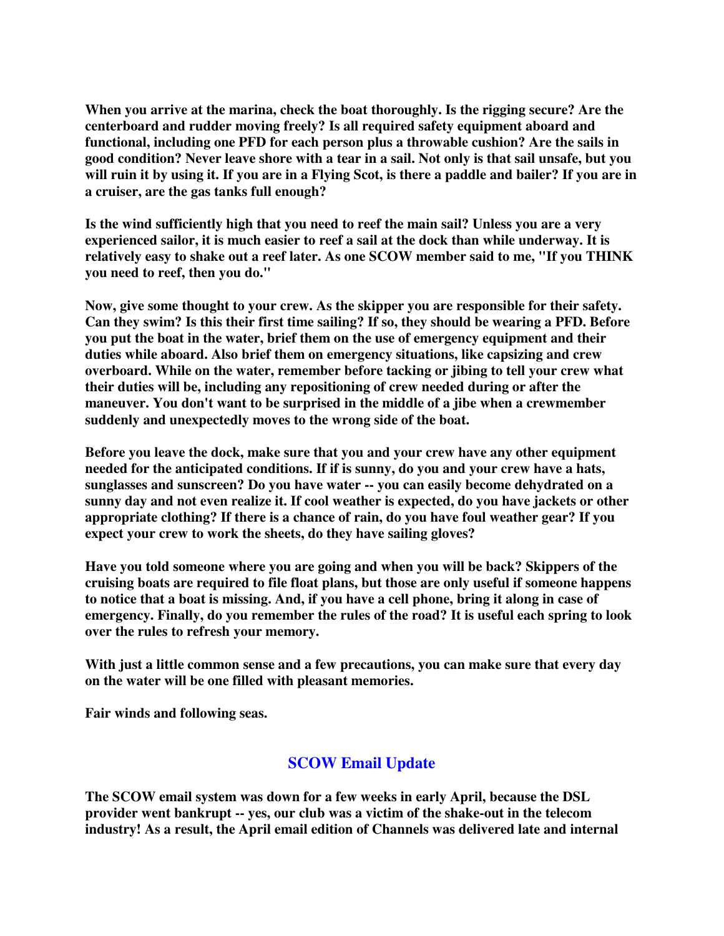**When you arrive at the marina, check the boat thoroughly. Is the rigging secure? Are the centerboard and rudder moving freely? Is all required safety equipment aboard and functional, including one PFD for each person plus a throwable cushion? Are the sails in** good condition? Never leave shore with a tear in a sail. Not only is that sail unsafe, but you will ruin it by using it. If you are in a Flying Scot, is there a paddle and bailer? If you are in **a cruiser, are the gas tanks full enough?**

**Is the wind sufficiently high that you need to reef the main sail? Unless you are a very experienced sailor, it is much easier to reef a sail at the dock than while underway. It is relatively easy to shake out a reef later. As one SCOW member said to me, "If you THINK you need to reef, then you do."**

**Now, give some thought to your crew. As the skipper you are responsible for their safety. Can they swim? Is this their first time sailing? If so, they should be wearing a PFD. Before you put the boat in the water, brief them on the use of emergency equipment and their duties while aboard. Also brief them on emergency situations, like capsizing and crew overboard. While on the water, remember before tacking or jibing to tell your crew what their duties will be, including any repositioning of crew needed during or after the maneuver. You don't want to be surprised in the middle of a jibe when a crewmember suddenly and unexpectedly moves to the wrong side of the boat.**

**Before you leave the dock, make sure that you and your crew have any other equipment needed for the anticipated conditions. If if is sunny, do you and your crew have a hats, sunglasses and sunscreen? Do you have water -- you can easily become dehydrated on a sunny day and not even realize it. If cool weather is expected, do you have jackets or other appropriate clothing? If there is a chance of rain, do you have foul weather gear? If you expect your crew to work the sheets, do they have sailing gloves?**

**Have you told someone where you are going and when you will be back? Skippers of the cruising boats are required to file float plans, but those are only useful if someone happens** to notice that a boat is missing. And, if you have a cell phone, bring it along in case of **emergency. Finally, do you remember the rules of the road? It is useful each spring to look over the rules to refresh your memory.**

**With just a little common sense and a few precautions, you can make sure that every day on the water will be one filled with pleasant memories.**

**Fair winds and following seas.**

# **SCOW Email Update**

**The SCOW email system was down for a few weeks in early April, because the DSL provider went bankrupt -- yes, our club was a victim of the shake-out in the telecom industry! As a result, the April email edition of Channels was delivered late and internal**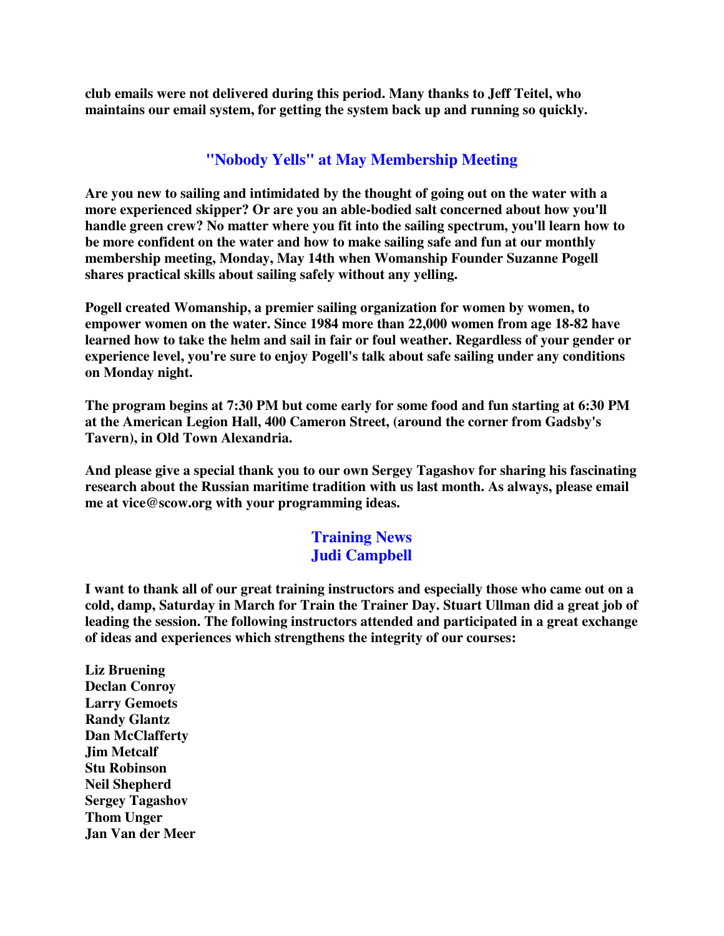**club emails were not delivered during this period. Many thanks to Jeff Teitel, who maintains our email system, for getting the system back up and running so quickly.**

## **"Nobody Yells" at May Membership Meeting**

**Are you new to sailing and intimidated by the thought of going out on the water with a more experienced skipper? Or are you an able-bodied salt concerned about how you'll handle green crew? No matter where you fit into the sailing spectrum, you'll learn how to be more confident on the water and how to make sailing safe and fun at our monthly membership meeting, Monday, May 14th when Womanship Founder Suzanne Pogell shares practical skills about sailing safely without any yelling.**

**Pogell created Womanship, a premier sailing organization for women by women, to empower women on the water. Since 1984 more than 22,000 women from age 18-82 have learned how to take the helm and sail in fair or foul weather. Regardless of your gender or experience level, you're sure to enjoy Pogell's talk about safe sailing under any conditions on Monday night.**

**The program begins at 7:30 PM but come early for some food and fun starting at 6:30 PM at the American Legion Hall, 400 Cameron Street, (around the corner from Gadsby's Tavern), in Old Town Alexandria.**

**And please give a special thank you to our own Sergey Tagashov for sharing his fascinating research about the Russian maritime tradition with us last month. As always, please email me at vice@scow.org with your programming ideas.**

## **Training News Judi Campbell**

**I want to thank all of our great training instructors and especially those who came out on a cold, damp, Saturday in March for Train the Trainer Day. Stuart Ullman did a great job of leading the session. The following instructors attended and participated in a great exchange of ideas and experiences which strengthens the integrity of our courses:**

**Liz Bruening Declan Conroy Larry Gemoets Randy Glantz Dan McClafferty Jim Metcalf Stu Robinson Neil Shepherd Sergey Tagashov Thom Unger Jan Van der Meer**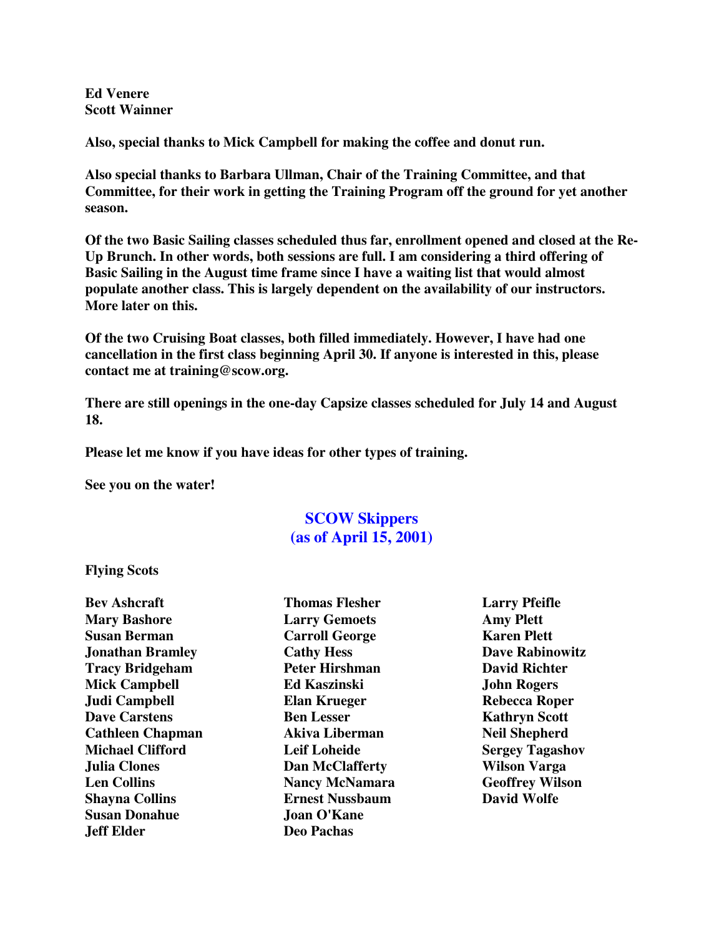**Ed Venere Scott Wainner**

**Also, special thanks to Mick Campbell for making the coffee and donut run.**

**Also special thanks to Barbara Ullman, Chair of the Training Committee, and that Committee, for their work in getting the Training Program off the ground for yet another season.**

**Of the two Basic Sailing classes scheduled thus far, enrollment opened and closed at the Re-Up Brunch. In other words, both sessions are full. I am considering a third offering of Basic Sailing in the August time frame since I have a waiting list that would almost populate another class. This is largely dependent on the availability of our instructors. More later on this.**

**Of the two Cruising Boat classes, both filled immediately. However, I have had one cancellation in the first class beginning April 30. If anyone is interested in this, please contact me at training@scow.org.**

**There are still openings in the one-day Capsize classes scheduled for July 14 and August 18.**

**Please let me know if you have ideas for other types of training.**

**See you on the water!**

# **SCOW Skippers (as of April 15, 2001)**

**Flying Scots**

**Bev Ashcraft Mary Bashore Susan Berman Jonathan Bramley Tracy Bridgeham Mick Campbell Judi Campbell Dave Carstens Cathleen Chapman Michael Clifford Julia Clones Len Collins Shayna Collins Susan Donahue Jeff Elder**

**Thomas Flesher Larry Gemoets Carroll George Cathy Hess Peter Hirshman Ed Kaszinski Elan Krueger Ben Lesser Akiva Liberman Leif Loheide Dan McClafferty Nancy McNamara Ernest Nussbaum Joan O'Kane Deo Pachas**

**Larry Pfeifle Amy Plett Karen Plett Dave Rabinowitz David Richter John Rogers Rebecca Roper Kathryn Scott Neil Shepherd Sergey Tagashov Wilson Varga Geoffrey Wilson David Wolfe**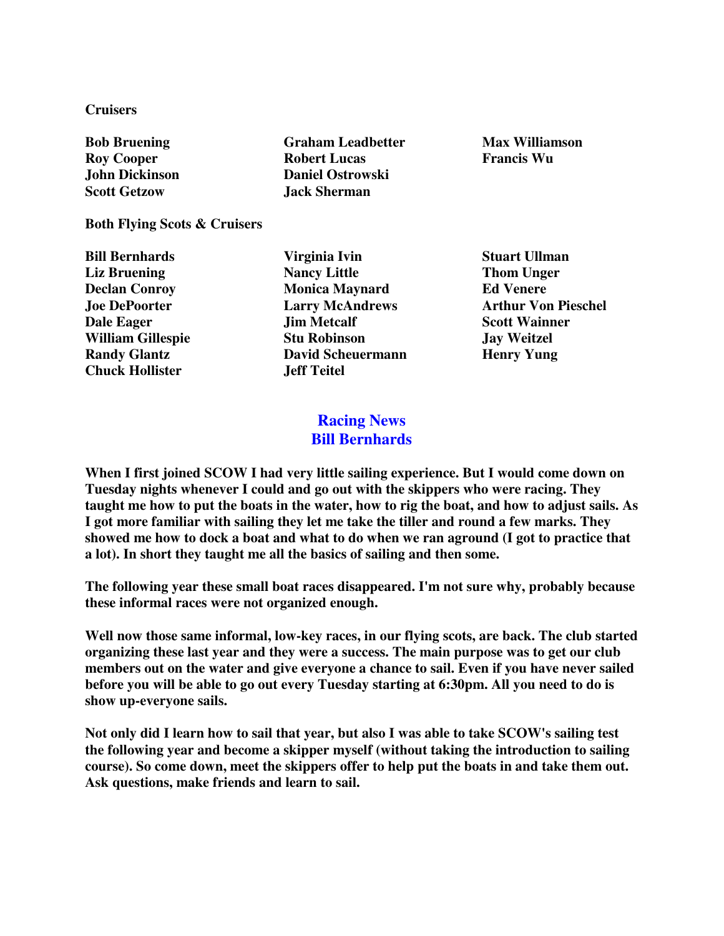**Cruisers**

**Bob Bruening Roy Cooper John Dickinson Scott Getzow Graham Leadbetter**

**Both Flying Scots & Cruisers**

**Bill Bernhards Liz Bruening Declan Conroy Joe DePoorter Dale Eager William Gillespie Randy Glantz Chuck Hollister**

**Robert Lucas Daniel Ostrowski Jack Sherman**

**Max Williamson Francis Wu**

**Virginia Ivin Nancy Little Monica Maynard Larry McAndrews Jim Metcalf Stu Robinson David Scheuermann Jeff Teitel**

**Stuart Ullman Thom Unger Ed Venere Arthur Von Pieschel Scott Wainner Jay Weitzel Henry Yung**

## **Racing News Bill Bernhards**

**When I first joined SCOW I had very little sailing experience. But I would come down on Tuesday nights whenever I could and go out with the skippers who were racing. They** taught me how to put the boats in the water, how to rig the boat, and how to adjust sails. As **I got more familiar with sailing they let me take the tiller and round a few marks. They** showed me how to dock a boat and what to do when we ran aground (I got to practice that **a lot). In short they taught me all the basics of sailing and then some.**

**The following year these small boat races disappeared. I'm not sure why, probably because these informal races were not organized enough.**

**Well now those same informal, low-key races, in our flying scots, are back. The club started organizing these last year and they were a success. The main purpose was to get our club members out on the water and give everyone a chance to sail. Even if you have never sailed before you will be able to go out every Tuesday starting at 6:30pm. All you need to do is show up-everyone sails.**

Not only did I learn how to sail that year, but also I was able to take SCOW's sailing test **the following year and become a skipper myself (without taking the introduction to sailing course). So come down, meet the skippers offer to help put the boats in and take them out. Ask questions, make friends and learn to sail.**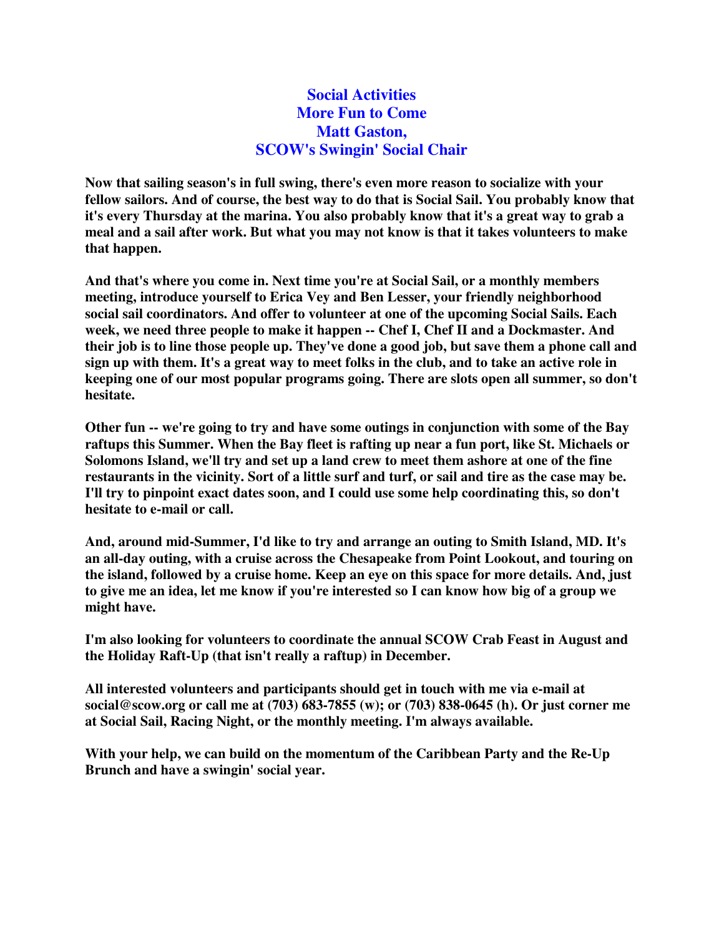## **Social Activities More Fun to Come Matt Gaston, SCOW's Swingin' Social Chair**

**Now that sailing season's in full swing, there's even more reason to socialize with your fellow sailors. And of course, the best way to do that is Social Sail. You probably know that it's every Thursday at the marina. You also probably know that it's a great way to grab a meal and a sail after work. But what you may not know is that it takes volunteers to make that happen.**

**And that's where you come in. Next time you're at Social Sail, or a monthly members meeting, introduce yourself to Erica Vey and Ben Lesser, your friendly neighborhood social sail coordinators. And offer to volunteer at one of the upcoming Social Sails. Each week, we need three people to make it happen -- Chef I, Chef II and a Dockmaster. And** their job is to line those people up. They've done a good job, but save them a phone call and sign up with them. It's a great way to meet folks in the club, and to take an active role in **keeping one of our most popular programs going. There are slots open all summer, so don't hesitate.**

**Other fun -- we're going to try and have some outings in conjunction with some of the Bay raftups this Summer. When the Bay fleet is rafting up near a fun port, like St. Michaels or Solomons Island, we'll try and set up a land crew to meet them ashore at one of the fine** restaurants in the vicinity. Sort of a little surf and turf, or sail and tire as the case may be. **I'll try to pinpoint exact dates soon, and I could use some help coordinating this, so don't hesitate to e-mail or call.**

**And, around mid-Summer, I'd like to try and arrange an outing to Smith Island, MD. It's an all-day outing, with a cruise across the Chesapeake from Point Lookout, and touring on the island, followed by a cruise home. Keep an eye on this space for more details. And, just** to give me an idea, let me know if you're interested so I can know how big of a group we **might have.**

**I'm also looking for volunteers to coordinate the annual SCOW Crab Feast in August and the Holiday Raft-Up (that isn't really a raftup) in December.**

**All interested volunteers and participants should get in touch with me via e-mail at social@scow.org or call me at (703) 683-7855 (w); or (703) 838-0645 (h). Or just corner me at Social Sail, Racing Night, or the monthly meeting. I'm always available.**

**With your help, we can build on the momentum of the Caribbean Party and the Re-Up Brunch and have a swingin' social year.**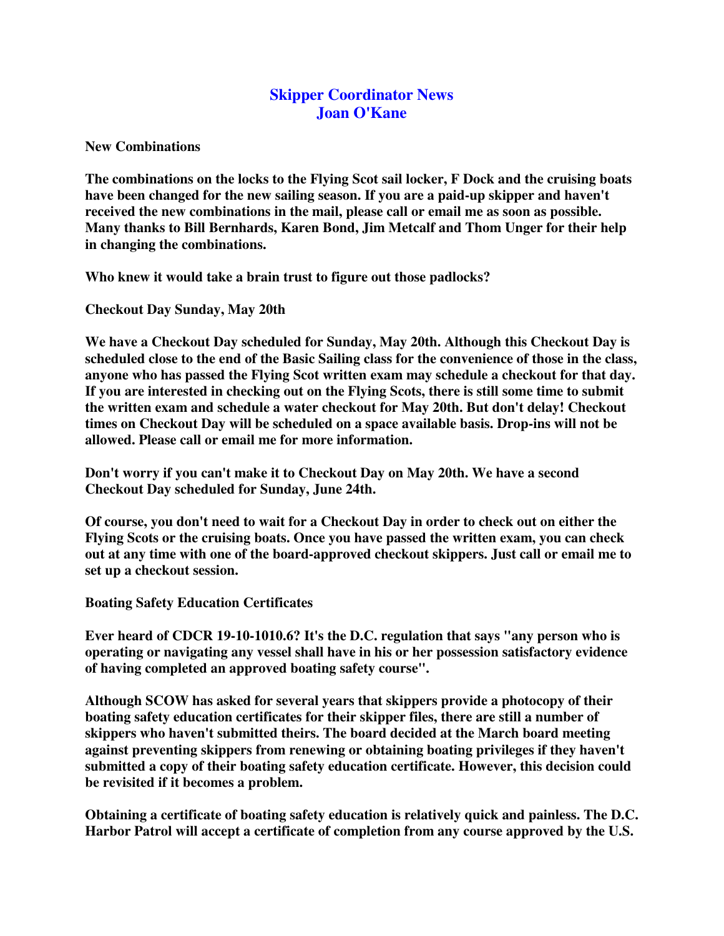## **Skipper Coordinator News Joan O'Kane**

**New Combinations**

**The combinations on the locks to the Flying Scot sail locker, F Dock and the cruising boats have been changed for the new sailing season. If you are a paid-up skipper and haven't received the new combinations in the mail, please call or email me as soon as possible. Many thanks to Bill Bernhards, Karen Bond, Jim Metcalf and Thom Unger for their help in changing the combinations.**

**Who knew it would take a brain trust to figure out those padlocks?**

**Checkout Day Sunday, May 20th**

**We have a Checkout Day scheduled for Sunday, May 20th. Although this Checkout Day is scheduled close to the end of the Basic Sailing class for the convenience of those in the class, anyone who has passed the Flying Scot written exam may schedule a checkout for that day. If you are interested in checking out on the Flying Scots, there is still some time to submit the written exam and schedule a water checkout for May 20th. But don't delay! Checkout times on Checkout Day will be scheduled on a space available basis. Drop-ins will not be allowed. Please call or email me for more information.**

**Don't worry if you can't make it to Checkout Day on May 20th. We have a second Checkout Day scheduled for Sunday, June 24th.**

**Of course, you don't need to wait for a Checkout Day in order to check out on either the Flying Scots or the cruising boats. Once you have passed the written exam, you can check out at any time with one of the board-approved checkout skippers. Just call or email me to set up a checkout session.**

**Boating Safety Education Certificates**

**Ever heard of CDCR 19-10-1010.6? It's the D.C. regulation that says "any person who is operating or navigating any vessel shall have in his or her possession satisfactory evidence of having completed an approved boating safety course".**

**Although SCOW has asked for several years that skippers provide a photocopy of their boating safety education certificates for their skipper files, there are still a number of skippers who haven't submitted theirs. The board decided at the March board meeting against preventing skippers from renewing or obtaining boating privileges if they haven't submitted a copy of their boating safety education certificate. However, this decision could be revisited if it becomes a problem.**

**Obtaining a certificate of boating safety education is relatively quick and painless. The D.C. Harbor Patrol will accept a certificate of completion from any course approved by the U.S.**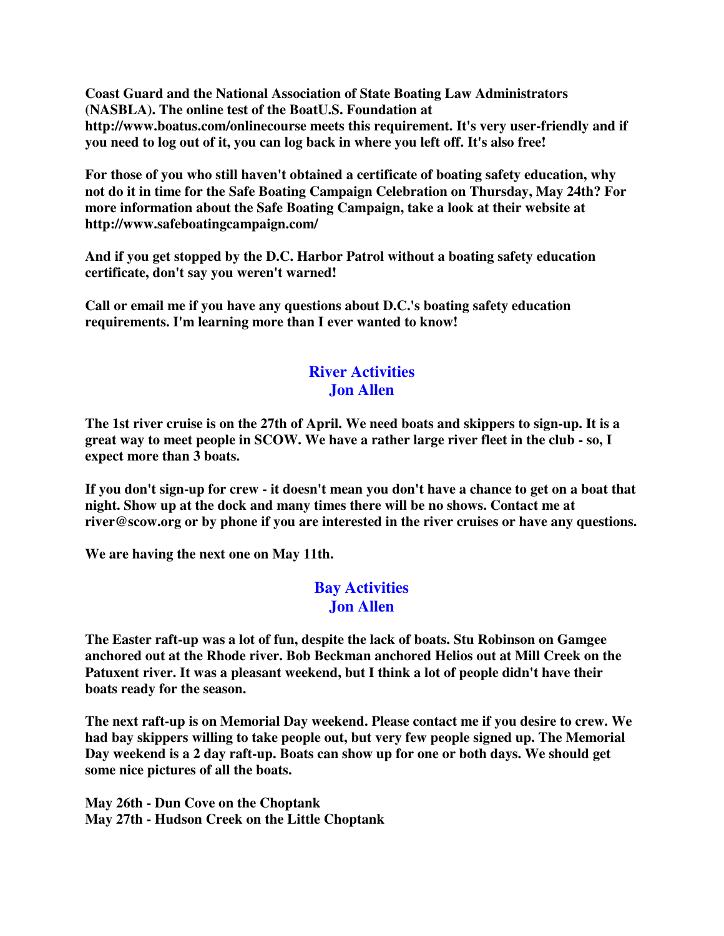**Coast Guard and the National Association of State Boating Law Administrators (NASBLA). The online test of the BoatU.S. Foundation at http://www.boatus.com/onlinecourse meets this requirement. It's very user-friendly and if you need to log out of it, you can log back in where you left off. It's also free!**

**For those of you who still haven't obtained a certificate of boating safety education, why not do it in time for the Safe Boating Campaign Celebration on Thursday, May 24th? For more information about the Safe Boating Campaign, take a look at their website at http://www.safeboatingcampaign.com/**

**And if you get stopped by the D.C. Harbor Patrol without a boating safety education certificate, don't say you weren't warned!**

**Call or email me if you have any questions about D.C.'s boating safety education requirements. I'm learning more than I ever wanted to know!**

# **River Activities Jon Allen**

The 1st river cruise is on the 27th of April. We need boats and skippers to sign-up. It is a great way to meet people in SCOW. We have a rather large river fleet in the club - so, I **expect more than 3 boats.**

If you don't sign-up for crew - it doesn't mean you don't have a chance to get on a boat that **night. Show up at the dock and many times there will be no shows. Contact me at river@scow.org or by phone if you are interested in the river cruises or have any questions.**

**We are having the next one on May 11th.**

## **Bay Activities Jon Allen**

**The Easter raft-up was a lot of fun, despite the lack of boats. Stu Robinson on Gamgee anchored out at the Rhode river. Bob Beckman anchored Helios out at Mill Creek on the Patuxent river. It was a pleasant weekend, but I think a lot of people didn't have their boats ready for the season.**

**The next raft-up is on Memorial Day weekend. Please contact me if you desire to crew. We had bay skippers willing to take people out, but very few people signed up. The Memorial Day weekend is a 2 day raft-up. Boats can show up for one or both days. We should get some nice pictures of all the boats.**

**May 26th - Dun Cove on the Choptank May 27th - Hudson Creek on the Little Choptank**